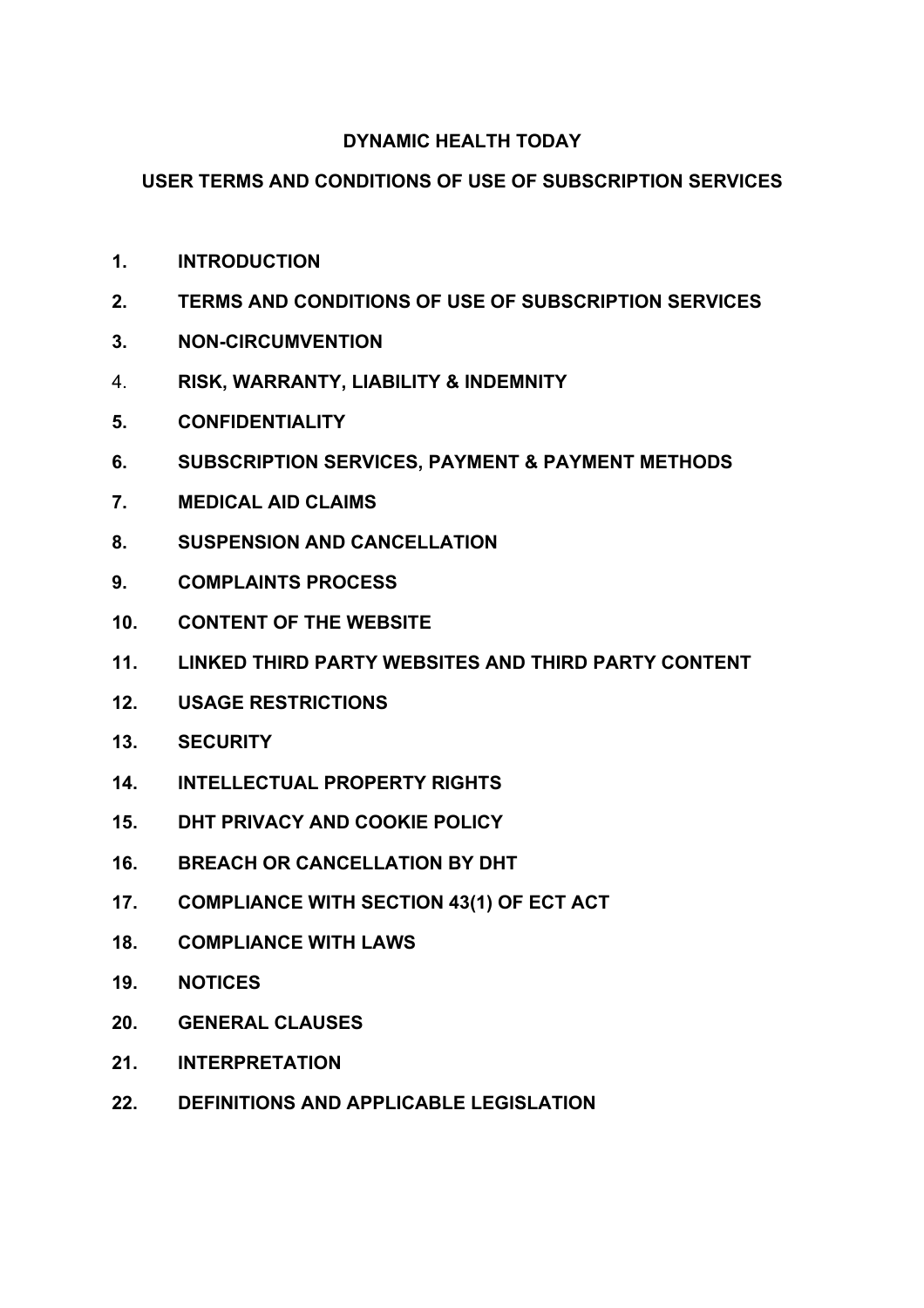# **DYNAMIC HEALTH TODAY**

# **USER TERMS AND CONDITIONS OF USE OF SUBSCRIPTION SERVICES**

- **1. INTRODUCTION**
- **2. TERMS AND CONDITIONS OF USE OF SUBSCRIPTION SERVICES**
- **3. NON-CIRCUMVENTION**
- 4. **RISK, WARRANTY, LIABILITY & INDEMNITY**
- **5. CONFIDENTIALITY**
- **6. SUBSCRIPTION SERVICES, PAYMENT & PAYMENT METHODS**
- **7. MEDICAL AID CLAIMS**
- **8. SUSPENSION AND CANCELLATION**
- **9. COMPLAINTS PROCESS**
- **10. CONTENT OF THE WEBSITE**
- **11. LINKED THIRD PARTY WEBSITES AND THIRD PARTY CONTENT**
- **12. USAGE RESTRICTIONS**
- **13. SECURITY**
- **14. INTELLECTUAL PROPERTY RIGHTS**
- **15. DHT PRIVACY AND COOKIE POLICY**
- **16. BREACH OR CANCELLATION BY DHT**
- **17. COMPLIANCE WITH SECTION 43(1) OF ECT ACT**
- **18. COMPLIANCE WITH LAWS**
- **19. NOTICES**
- **20. GENERAL CLAUSES**
- **21. INTERPRETATION**
- **22. DEFINITIONS AND APPLICABLE LEGISLATION**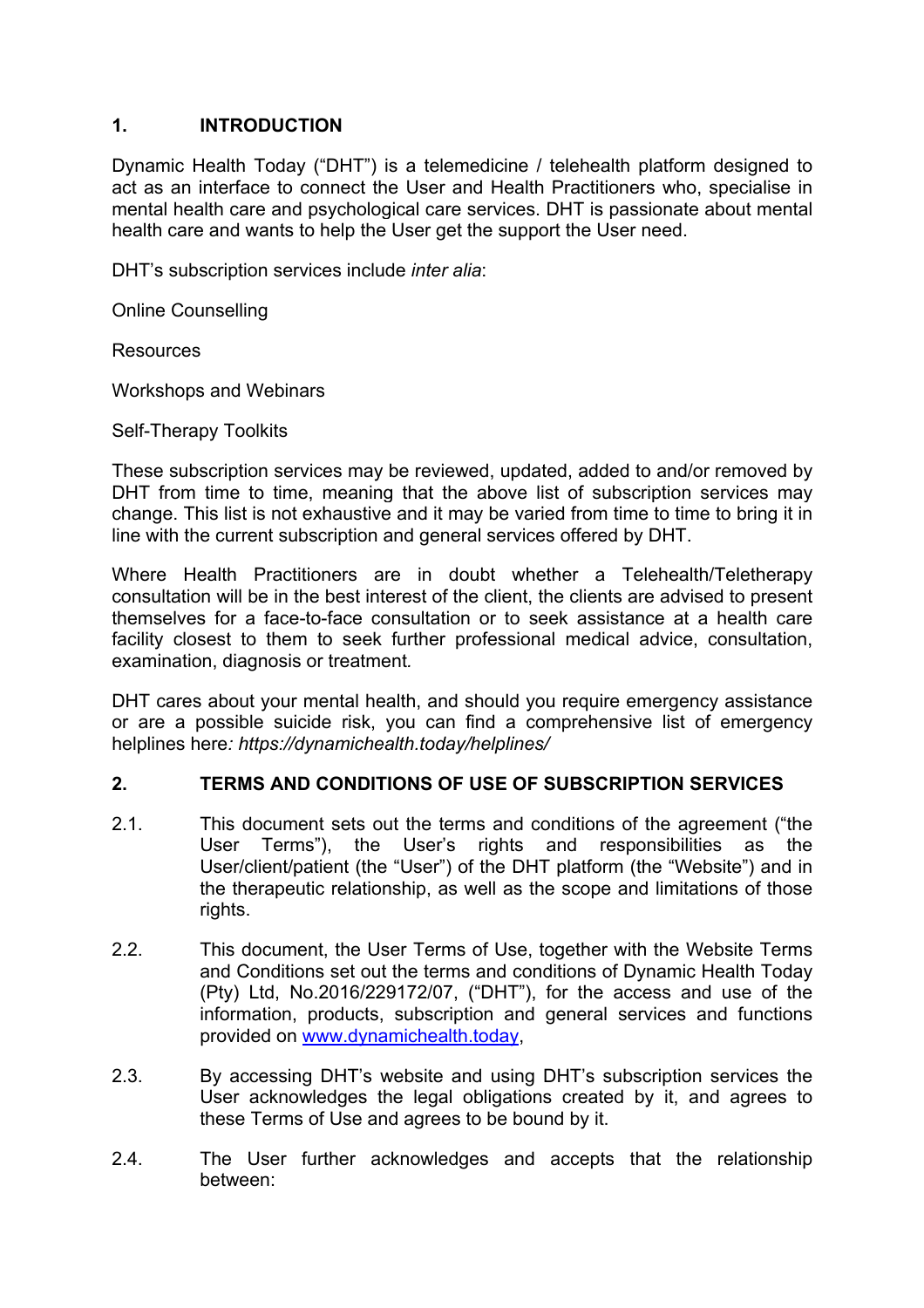#### **1. INTRODUCTION**

Dynamic Health Today ("DHT") is a telemedicine / telehealth platform designed to act as an interface to connect the User and Health Practitioners who, specialise in mental health care and psychological care services. DHT is passionate about mental health care and wants to help the User get the support the User need.

DHT's subscription services include *inter alia*:

Online Counselling

Resources

Workshops and Webinars

Self-Therapy Toolkits

These subscription services may be reviewed, updated, added to and/or removed by DHT from time to time, meaning that the above list of subscription services may change. This list is not exhaustive and it may be varied from time to time to bring it in line with the current subscription and general services offered by DHT.

Where Health Practitioners are in doubt whether a Telehealth/Teletherapy consultation will be in the best interest of the client, the clients are advised to present themselves for a face-to-face consultation or to seek assistance at a health care facility closest to them to seek further professional medical advice, consultation, examination, diagnosis or treatment*.* 

DHT cares about your mental health, and should you require emergency assistance or are a possible suicide risk, you can find a comprehensive list of emergency helplines here*: https://dynamichealth.today/helplines/*

#### **2. TERMS AND CONDITIONS OF USE OF SUBSCRIPTION SERVICES**

- 2.1. This document sets out the terms and conditions of the agreement ("the User Terms"), the User's rights and responsibilities as the User/client/patient (the "User") of the DHT platform (the "Website") and in the therapeutic relationship, as well as the scope and limitations of those rights.
- 2.2. This document, the User Terms of Use, together with the Website Terms and Conditions set out the terms and conditions of Dynamic Health Today (Pty) Ltd, No.2016/229172/07, ("DHT"), for the access and use of the information, products, subscription and general services and functions provided on www.dynamichealth.today,
- 2.3. By accessing DHT's website and using DHT's subscription services the User acknowledges the legal obligations created by it, and agrees to these Terms of Use and agrees to be bound by it.
- 2.4. The User further acknowledges and accepts that the relationship between: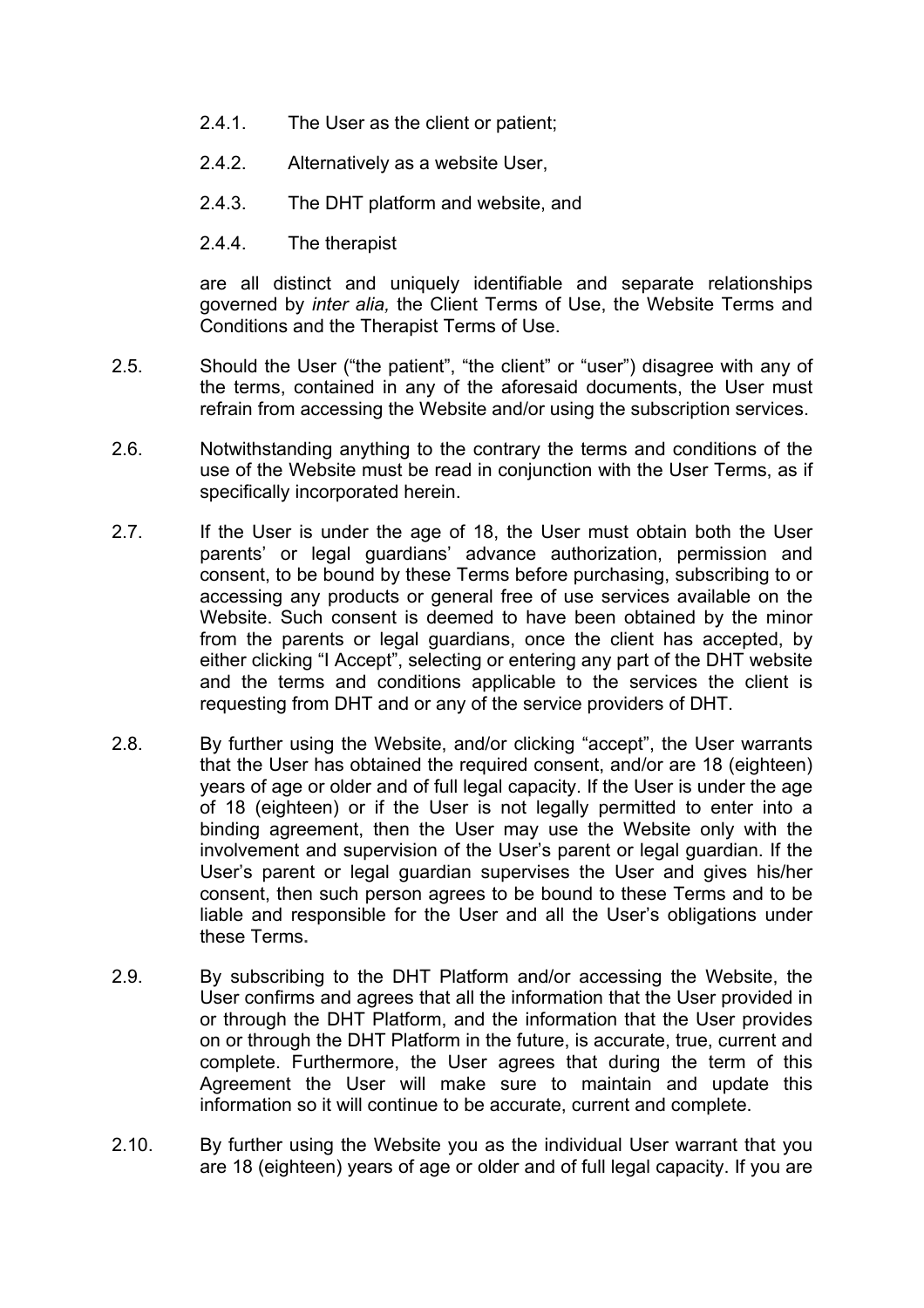- 2.4.1. The User as the client or patient;
- 2.4.2. Alternatively as a website User,
- 2.4.3. The DHT platform and website, and
- 2.4.4. The therapist

are all distinct and uniquely identifiable and separate relationships governed by *inter alia,* the Client Terms of Use, the Website Terms and Conditions and the Therapist Terms of Use.

- 2.5. Should the User ("the patient", "the client" or "user") disagree with any of the terms, contained in any of the aforesaid documents, the User must refrain from accessing the Website and/or using the subscription services.
- 2.6. Notwithstanding anything to the contrary the terms and conditions of the use of the Website must be read in conjunction with the User Terms, as if specifically incorporated herein.
- 2.7. If the User is under the age of 18, the User must obtain both the User parents' or legal guardians' advance authorization, permission and consent, to be bound by these Terms before purchasing, subscribing to or accessing any products or general free of use services available on the Website. Such consent is deemed to have been obtained by the minor from the parents or legal guardians, once the client has accepted, by either clicking "I Accept", selecting or entering any part of the DHT website and the terms and conditions applicable to the services the client is requesting from DHT and or any of the service providers of DHT.
- 2.8. By further using the Website, and/or clicking "accept", the User warrants that the User has obtained the required consent, and/or are 18 (eighteen) years of age or older and of full legal capacity. If the User is under the age of 18 (eighteen) or if the User is not legally permitted to enter into a binding agreement, then the User may use the Website only with the involvement and supervision of the User's parent or legal guardian. If the User's parent or legal guardian supervises the User and gives his/her consent, then such person agrees to be bound to these Terms and to be liable and responsible for the User and all the User's obligations under these Terms**.**
- 2.9. By subscribing to the DHT Platform and/or accessing the Website, the User confirms and agrees that all the information that the User provided in or through the DHT Platform, and the information that the User provides on or through the DHT Platform in the future, is accurate, true, current and complete. Furthermore, the User agrees that during the term of this Agreement the User will make sure to maintain and update this information so it will continue to be accurate, current and complete.
- 2.10. By further using the Website you as the individual User warrant that you are 18 (eighteen) years of age or older and of full legal capacity. If you are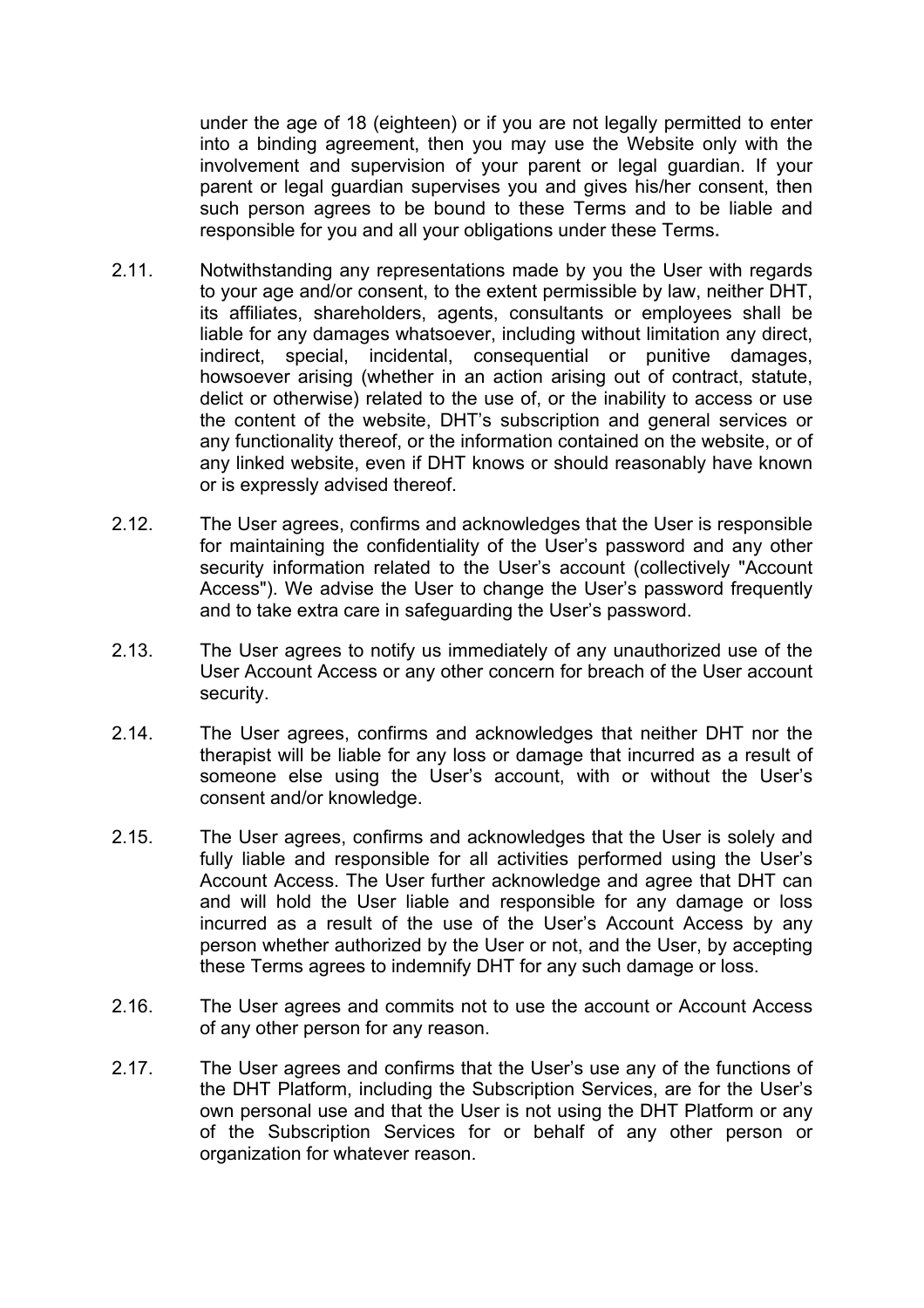under the age of 18 (eighteen) or if you are not legally permitted to enter into a binding agreement, then you may use the Website only with the involvement and supervision of your parent or legal guardian. If your parent or legal guardian supervises you and gives his/her consent, then such person agrees to be bound to these Terms and to be liable and responsible for you and all your obligations under these Terms**.**

- 2.11. Notwithstanding any representations made by you the User with regards to your age and/or consent, to the extent permissible by law, neither DHT, its affiliates, shareholders, agents, consultants or employees shall be liable for any damages whatsoever, including without limitation any direct, indirect, special, incidental, consequential or punitive damages, howsoever arising (whether in an action arising out of contract, statute, delict or otherwise) related to the use of, or the inability to access or use the content of the website, DHT's subscription and general services or any functionality thereof, or the information contained on the website, or of any linked website, even if DHT knows or should reasonably have known or is expressly advised thereof.
- 2.12. The User agrees, confirms and acknowledges that the User is responsible for maintaining the confidentiality of the User's password and any other security information related to the User's account (collectively "Account Access"). We advise the User to change the User's password frequently and to take extra care in safeguarding the User's password.
- 2.13. The User agrees to notify us immediately of any unauthorized use of the User Account Access or any other concern for breach of the User account security.
- 2.14. The User agrees, confirms and acknowledges that neither DHT nor the therapist will be liable for any loss or damage that incurred as a result of someone else using the User's account, with or without the User's consent and/or knowledge.
- 2.15. The User agrees, confirms and acknowledges that the User is solely and fully liable and responsible for all activities performed using the User's Account Access. The User further acknowledge and agree that DHT can and will hold the User liable and responsible for any damage or loss incurred as a result of the use of the User's Account Access by any person whether authorized by the User or not, and the User, by accepting these Terms agrees to indemnify DHT for any such damage or loss.
- 2.16. The User agrees and commits not to use the account or Account Access of any other person for any reason.
- 2.17. The User agrees and confirms that the User's use any of the functions of the DHT Platform, including the Subscription Services, are for the User's own personal use and that the User is not using the DHT Platform or any of the Subscription Services for or behalf of any other person or organization for whatever reason.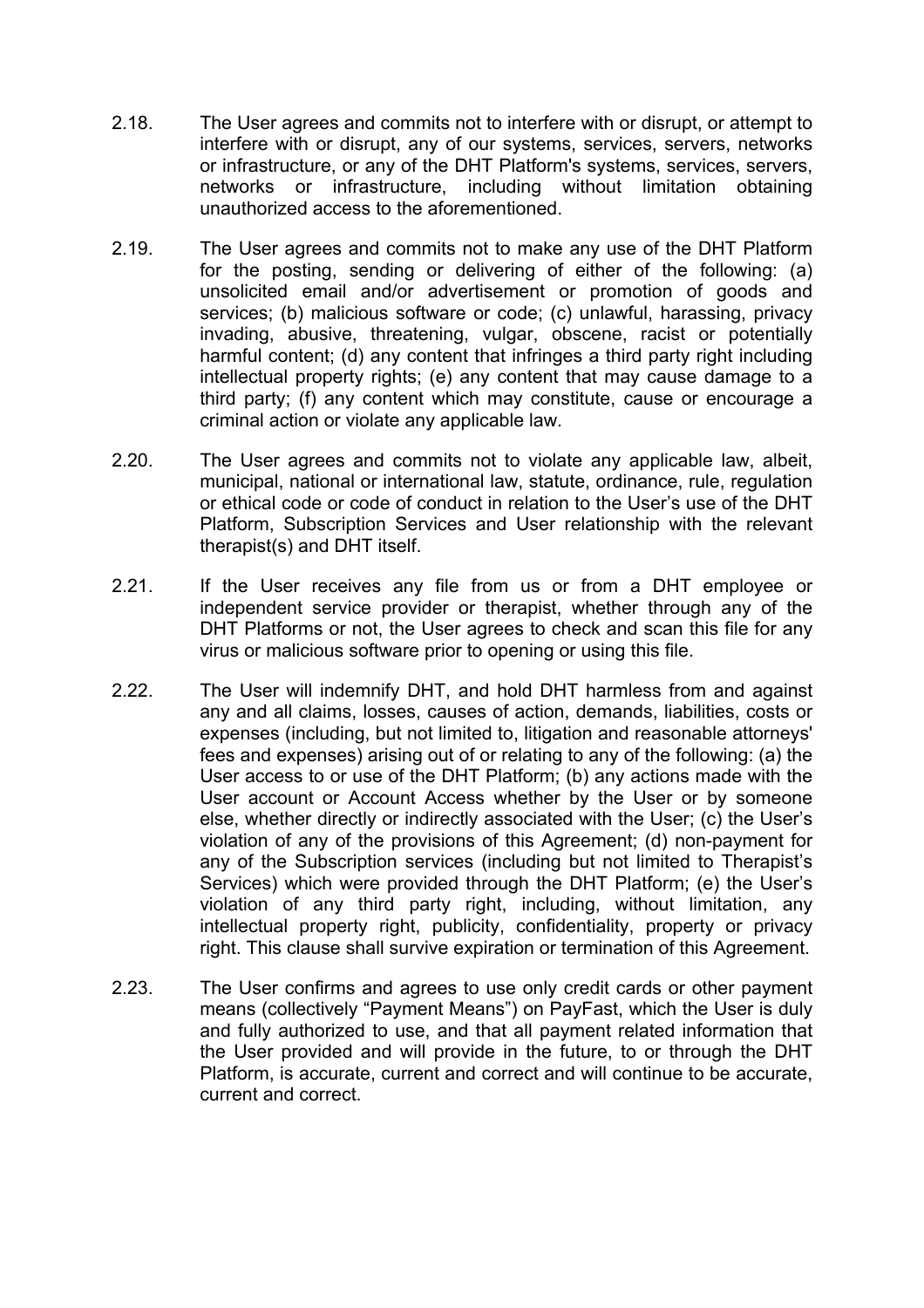- 2.18. The User agrees and commits not to interfere with or disrupt, or attempt to interfere with or disrupt, any of our systems, services, servers, networks or infrastructure, or any of the DHT Platform's systems, services, servers, networks or infrastructure, including without limitation obtaining unauthorized access to the aforementioned.
- 2.19. The User agrees and commits not to make any use of the DHT Platform for the posting, sending or delivering of either of the following: (a) unsolicited email and/or advertisement or promotion of goods and services; (b) malicious software or code; (c) unlawful, harassing, privacy invading, abusive, threatening, vulgar, obscene, racist or potentially harmful content; (d) any content that infringes a third party right including intellectual property rights; (e) any content that may cause damage to a third party; (f) any content which may constitute, cause or encourage a criminal action or violate any applicable law.
- 2.20. The User agrees and commits not to violate any applicable law, albeit, municipal, national or international law, statute, ordinance, rule, regulation or ethical code or code of conduct in relation to the User's use of the DHT Platform, Subscription Services and User relationship with the relevant therapist(s) and DHT itself.
- 2.21. If the User receives any file from us or from a DHT employee or independent service provider or therapist, whether through any of the DHT Platforms or not, the User agrees to check and scan this file for any virus or malicious software prior to opening or using this file.
- 2.22. The User will indemnify DHT, and hold DHT harmless from and against any and all claims, losses, causes of action, demands, liabilities, costs or expenses (including, but not limited to, litigation and reasonable attorneys' fees and expenses) arising out of or relating to any of the following: (a) the User access to or use of the DHT Platform; (b) any actions made with the User account or Account Access whether by the User or by someone else, whether directly or indirectly associated with the User; (c) the User's violation of any of the provisions of this Agreement; (d) non-payment for any of the Subscription services (including but not limited to Therapist's Services) which were provided through the DHT Platform; (e) the User's violation of any third party right, including, without limitation, any intellectual property right, publicity, confidentiality, property or privacy right. This clause shall survive expiration or termination of this Agreement.
- 2.23. The User confirms and agrees to use only credit cards or other payment means (collectively "Payment Means") on PayFast, which the User is duly and fully authorized to use, and that all payment related information that the User provided and will provide in the future, to or through the DHT Platform, is accurate, current and correct and will continue to be accurate, current and correct.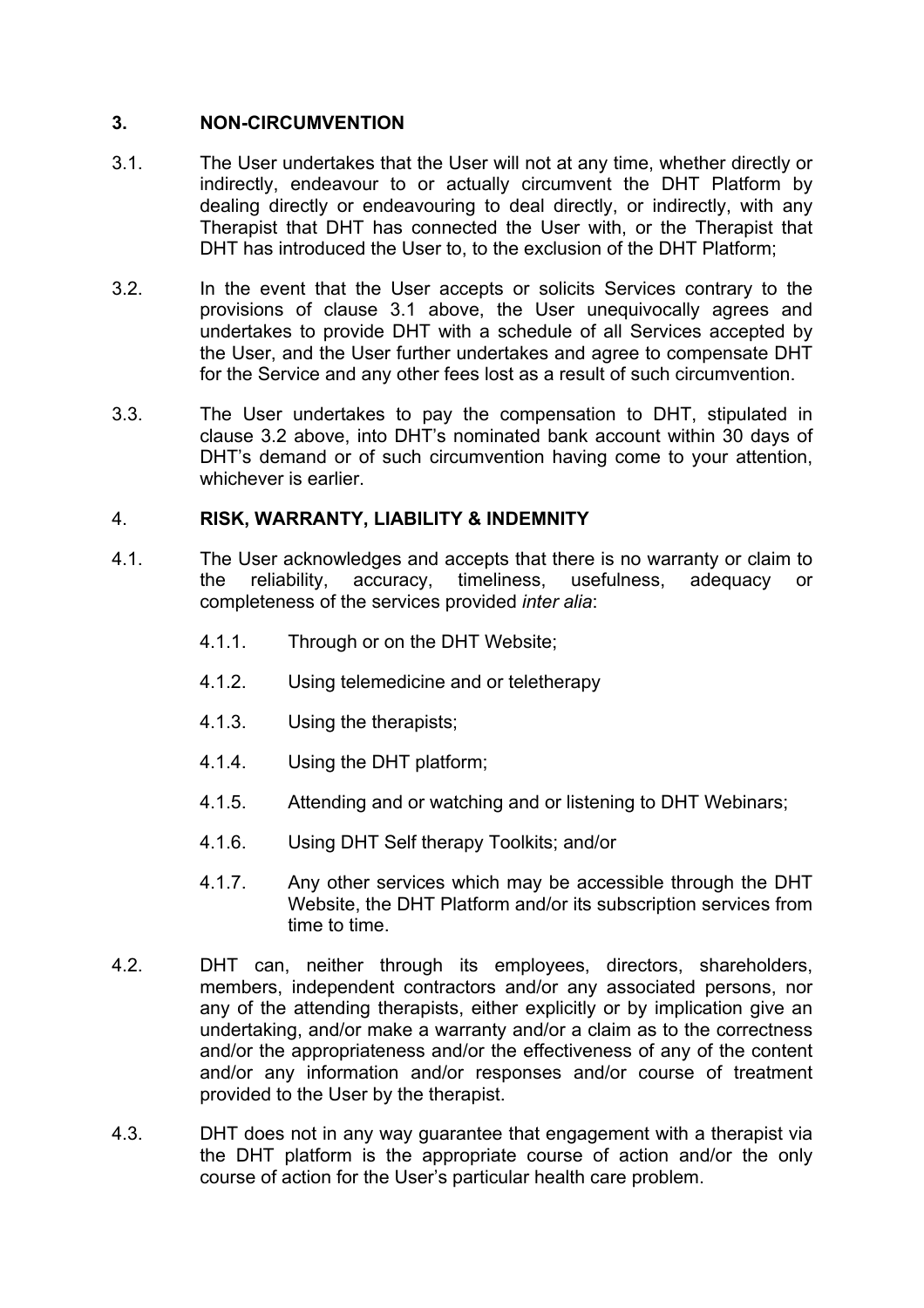### **3. NON-CIRCUMVENTION**

- 3.1. The User undertakes that the User will not at any time, whether directly or indirectly, endeavour to or actually circumvent the DHT Platform by dealing directly or endeavouring to deal directly, or indirectly, with any Therapist that DHT has connected the User with, or the Therapist that DHT has introduced the User to, to the exclusion of the DHT Platform;
- 3.2. In the event that the User accepts or solicits Services contrary to the provisions of clause 3.1 above, the User unequivocally agrees and undertakes to provide DHT with a schedule of all Services accepted by the User, and the User further undertakes and agree to compensate DHT for the Service and any other fees lost as a result of such circumvention.
- 3.3. The User undertakes to pay the compensation to DHT, stipulated in clause 3.2 above, into DHT's nominated bank account within 30 days of DHT's demand or of such circumvention having come to your attention, whichever is earlier.

### 4. **RISK, WARRANTY, LIABILITY & INDEMNITY**

- 4.1. The User acknowledges and accepts that there is no warranty or claim to the reliability, accuracy, timeliness, usefulness, adequacy or completeness of the services provided *inter alia*:
	- 4.1.1. Through or on the DHT Website;
	- 4.1.2. Using telemedicine and or teletherapy
	- 4.1.3. Using the therapists;
	- 4.1.4. Using the DHT platform;
	- 4.1.5. Attending and or watching and or listening to DHT Webinars;
	- 4.1.6. Using DHT Self therapy Toolkits; and/or
	- 4.1.7. Any other services which may be accessible through the DHT Website, the DHT Platform and/or its subscription services from time to time.
- 4.2. DHT can, neither through its employees, directors, shareholders, members, independent contractors and/or any associated persons, nor any of the attending therapists, either explicitly or by implication give an undertaking, and/or make a warranty and/or a claim as to the correctness and/or the appropriateness and/or the effectiveness of any of the content and/or any information and/or responses and/or course of treatment provided to the User by the therapist.
- 4.3. DHT does not in any way guarantee that engagement with a therapist via the DHT platform is the appropriate course of action and/or the only course of action for the User's particular health care problem.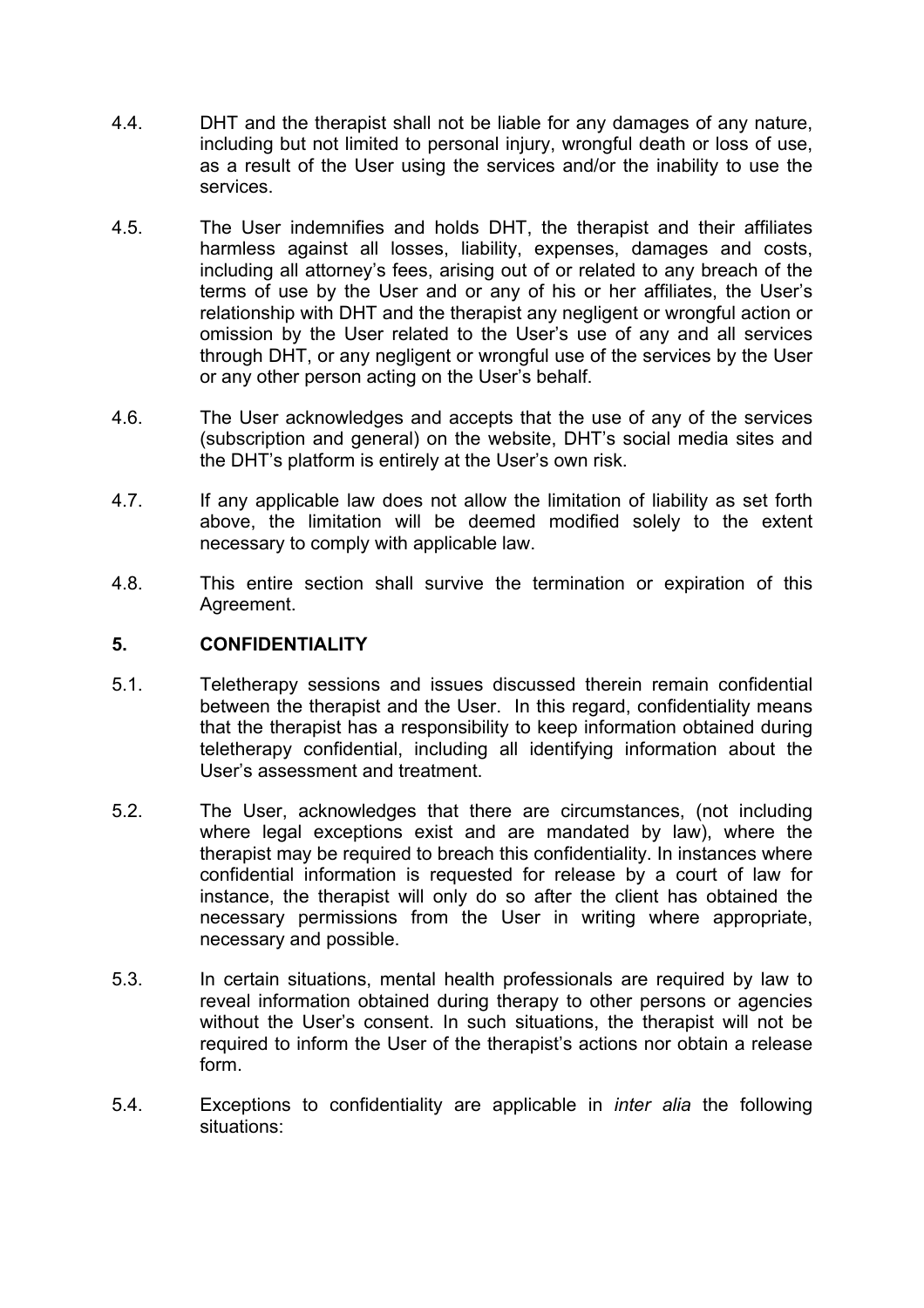- 4.4. DHT and the therapist shall not be liable for any damages of any nature, including but not limited to personal injury, wrongful death or loss of use, as a result of the User using the services and/or the inability to use the services.
- 4.5. The User indemnifies and holds DHT, the therapist and their affiliates harmless against all losses, liability, expenses, damages and costs, including all attorney's fees, arising out of or related to any breach of the terms of use by the User and or any of his or her affiliates, the User's relationship with DHT and the therapist any negligent or wrongful action or omission by the User related to the User's use of any and all services through DHT, or any negligent or wrongful use of the services by the User or any other person acting on the User's behalf.
- 4.6. The User acknowledges and accepts that the use of any of the services (subscription and general) on the website, DHT's social media sites and the DHT's platform is entirely at the User's own risk.
- 4.7. If any applicable law does not allow the limitation of liability as set forth above, the limitation will be deemed modified solely to the extent necessary to comply with applicable law.
- 4.8. This entire section shall survive the termination or expiration of this Agreement.

#### **5. CONFIDENTIALITY**

- 5.1. Teletherapy sessions and issues discussed therein remain confidential between the therapist and the User. In this regard, confidentiality means that the therapist has a responsibility to keep information obtained during teletherapy confidential, including all identifying information about the User's assessment and treatment.
- 5.2. The User, acknowledges that there are circumstances, (not including where legal exceptions exist and are mandated by law), where the therapist may be required to breach this confidentiality. In instances where confidential information is requested for release by a court of law for instance, the therapist will only do so after the client has obtained the necessary permissions from the User in writing where appropriate, necessary and possible.
- 5.3. In certain situations, mental health professionals are required by law to reveal information obtained during therapy to other persons or agencies without the User's consent. In such situations, the therapist will not be required to inform the User of the therapist's actions nor obtain a release form.
- 5.4. Exceptions to confidentiality are applicable in *inter alia* the following situations: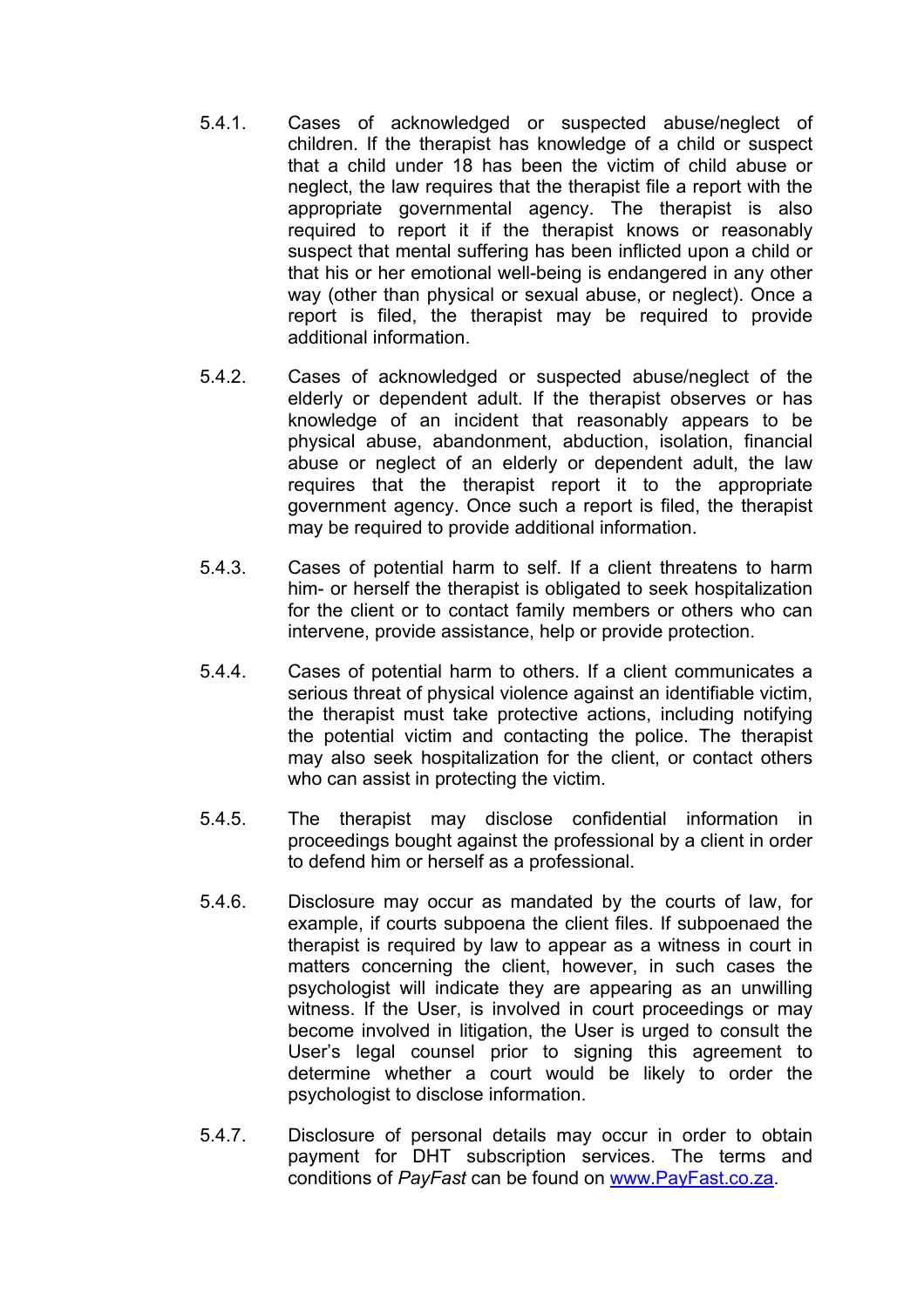- 5.4.1. Cases of acknowledged or suspected abuse/neglect of children. If the therapist has knowledge of a child or suspect that a child under 18 has been the victim of child abuse or neglect, the law requires that the therapist file a report with the appropriate governmental agency. The therapist is also required to report it if the therapist knows or reasonably suspect that mental suffering has been inflicted upon a child or that his or her emotional well-being is endangered in any other way (other than physical or sexual abuse, or neglect). Once a report is filed, the therapist may be required to provide additional information.
- 5.4.2. Cases of acknowledged or suspected abuse/neglect of the elderly or dependent adult. If the therapist observes or has knowledge of an incident that reasonably appears to be physical abuse, abandonment, abduction, isolation, financial abuse or neglect of an elderly or dependent adult, the law requires that the therapist report it to the appropriate government agency. Once such a report is filed, the therapist may be required to provide additional information.
- 5.4.3. Cases of potential harm to self. If a client threatens to harm him- or herself the therapist is obligated to seek hospitalization for the client or to contact family members or others who can intervene, provide assistance, help or provide protection.
- 5.4.4. Cases of potential harm to others. If a client communicates a serious threat of physical violence against an identifiable victim, the therapist must take protective actions, including notifying the potential victim and contacting the police. The therapist may also seek hospitalization for the client, or contact others who can assist in protecting the victim.
- 5.4.5. The therapist may disclose confidential information in proceedings bought against the professional by a client in order to defend him or herself as a professional.
- 5.4.6. Disclosure may occur as mandated by the courts of law, for example, if courts subpoena the client files. If subpoenaed the therapist is required by law to appear as a witness in court in matters concerning the client, however, in such cases the psychologist will indicate they are appearing as an unwilling witness. If the User, is involved in court proceedings or may become involved in litigation, the User is urged to consult the User's legal counsel prior to signing this agreement to determine whether a court would be likely to order the psychologist to disclose information.
- 5.4.7. Disclosure of personal details may occur in order to obtain payment for DHT subscription services. The terms and conditions of *PayFast* can be found on www.PayFast.co.za.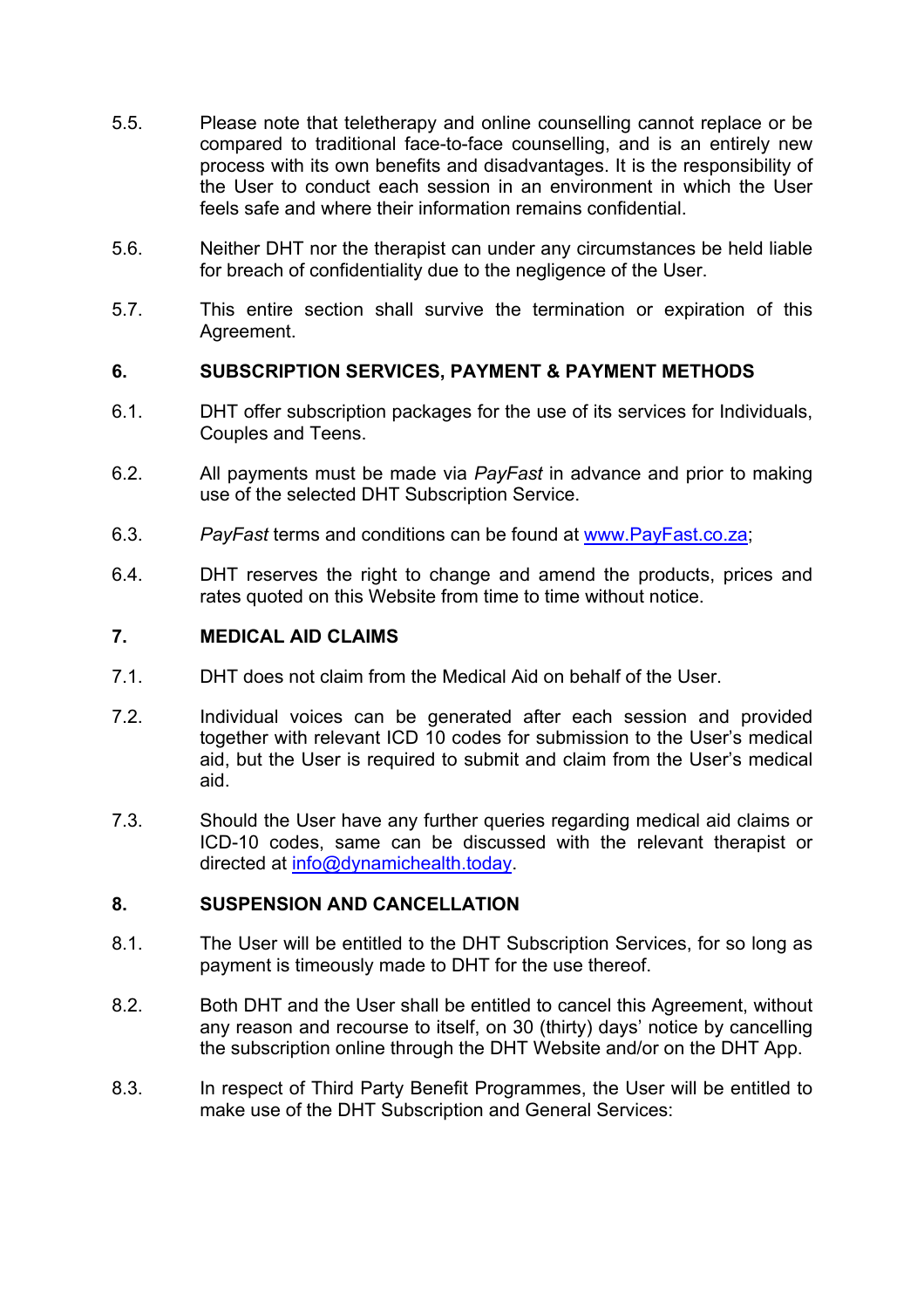- 5.5. Please note that teletherapy and online counselling cannot replace or be compared to traditional face-to-face counselling, and is an entirely new process with its own benefits and disadvantages. It is the responsibility of the User to conduct each session in an environment in which the User feels safe and where their information remains confidential.
- 5.6. Neither DHT nor the therapist can under any circumstances be held liable for breach of confidentiality due to the negligence of the User.
- 5.7. This entire section shall survive the termination or expiration of this Agreement.

#### **6. SUBSCRIPTION SERVICES, PAYMENT & PAYMENT METHODS**

- 6.1. DHT offer subscription packages for the use of its services for Individuals, Couples and Teens.
- 6.2. All payments must be made via *PayFast* in advance and prior to making use of the selected DHT Subscription Service.
- 6.3. *PayFast* terms and conditions can be found at www.PayFast.co.za;
- 6.4. DHT reserves the right to change and amend the products, prices and rates quoted on this Website from time to time without notice.

### **7. MEDICAL AID CLAIMS**

- 7.1. DHT does not claim from the Medical Aid on behalf of the User.
- 7.2. Individual voices can be generated after each session and provided together with relevant ICD 10 codes for submission to the User's medical aid, but the User is required to submit and claim from the User's medical aid.
- 7.3. Should the User have any further queries regarding medical aid claims or ICD-10 codes, same can be discussed with the relevant therapist or directed at info@dynamichealth.today.

#### **8. SUSPENSION AND CANCELLATION**

- 8.1. The User will be entitled to the DHT Subscription Services, for so long as payment is timeously made to DHT for the use thereof.
- 8.2. Both DHT and the User shall be entitled to cancel this Agreement, without any reason and recourse to itself, on 30 (thirty) days' notice by cancelling the subscription online through the DHT Website and/or on the DHT App.
- 8.3. In respect of Third Party Benefit Programmes, the User will be entitled to make use of the DHT Subscription and General Services: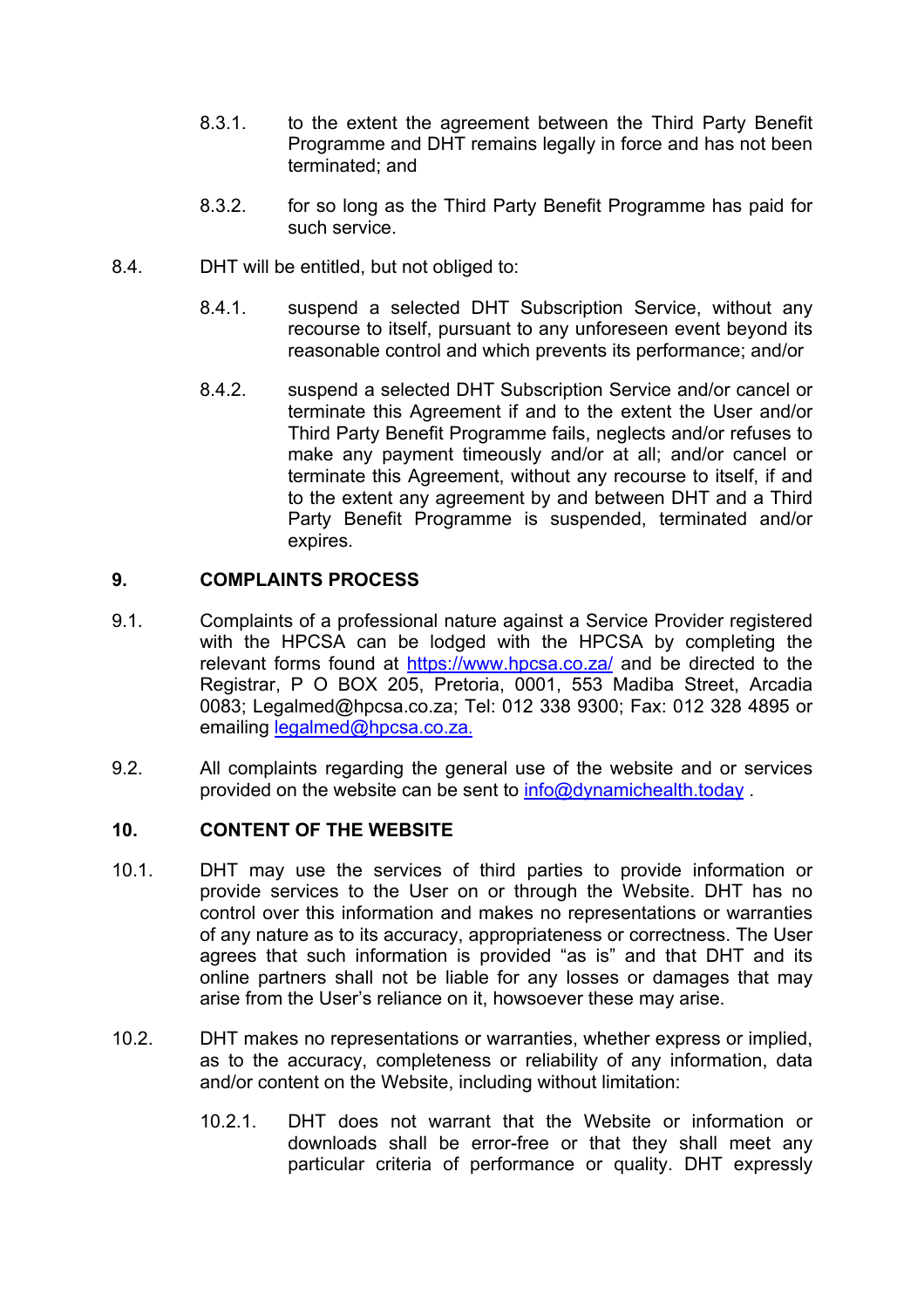- 8.3.1. to the extent the agreement between the Third Party Benefit Programme and DHT remains legally in force and has not been terminated; and
- 8.3.2. for so long as the Third Party Benefit Programme has paid for such service.
- 8.4. DHT will be entitled, but not obliged to:
	- 8.4.1. suspend a selected DHT Subscription Service, without any recourse to itself, pursuant to any unforeseen event beyond its reasonable control and which prevents its performance; and/or
	- 8.4.2. suspend a selected DHT Subscription Service and/or cancel or terminate this Agreement if and to the extent the User and/or Third Party Benefit Programme fails, neglects and/or refuses to make any payment timeously and/or at all; and/or cancel or terminate this Agreement, without any recourse to itself, if and to the extent any agreement by and between DHT and a Third Party Benefit Programme is suspended, terminated and/or expires.

### **9. COMPLAINTS PROCESS**

- 9.1. Complaints of a professional nature against a Service Provider registered with the HPCSA can be lodged with the HPCSA by completing the relevant forms found at https://www.hpcsa.co.za/ and be directed to the Registrar, P O BOX 205, Pretoria, 0001, 553 Madiba Street, Arcadia 0083; Legalmed@hpcsa.co.za; Tel: 012 338 9300; Fax: 012 328 4895 or emailing legalmed@hpcsa.co.za.
- 9.2. All complaints regarding the general use of the website and or services provided on the website can be sent to info@dynamichealth.today .

# **10. CONTENT OF THE WEBSITE**

- 10.1. DHT may use the services of third parties to provide information or provide services to the User on or through the Website. DHT has no control over this information and makes no representations or warranties of any nature as to its accuracy, appropriateness or correctness. The User agrees that such information is provided "as is" and that DHT and its online partners shall not be liable for any losses or damages that may arise from the User's reliance on it, howsoever these may arise.
- 10.2. DHT makes no representations or warranties, whether express or implied, as to the accuracy, completeness or reliability of any information, data and/or content on the Website, including without limitation:
	- 10.2.1. DHT does not warrant that the Website or information or downloads shall be error-free or that they shall meet any particular criteria of performance or quality. DHT expressly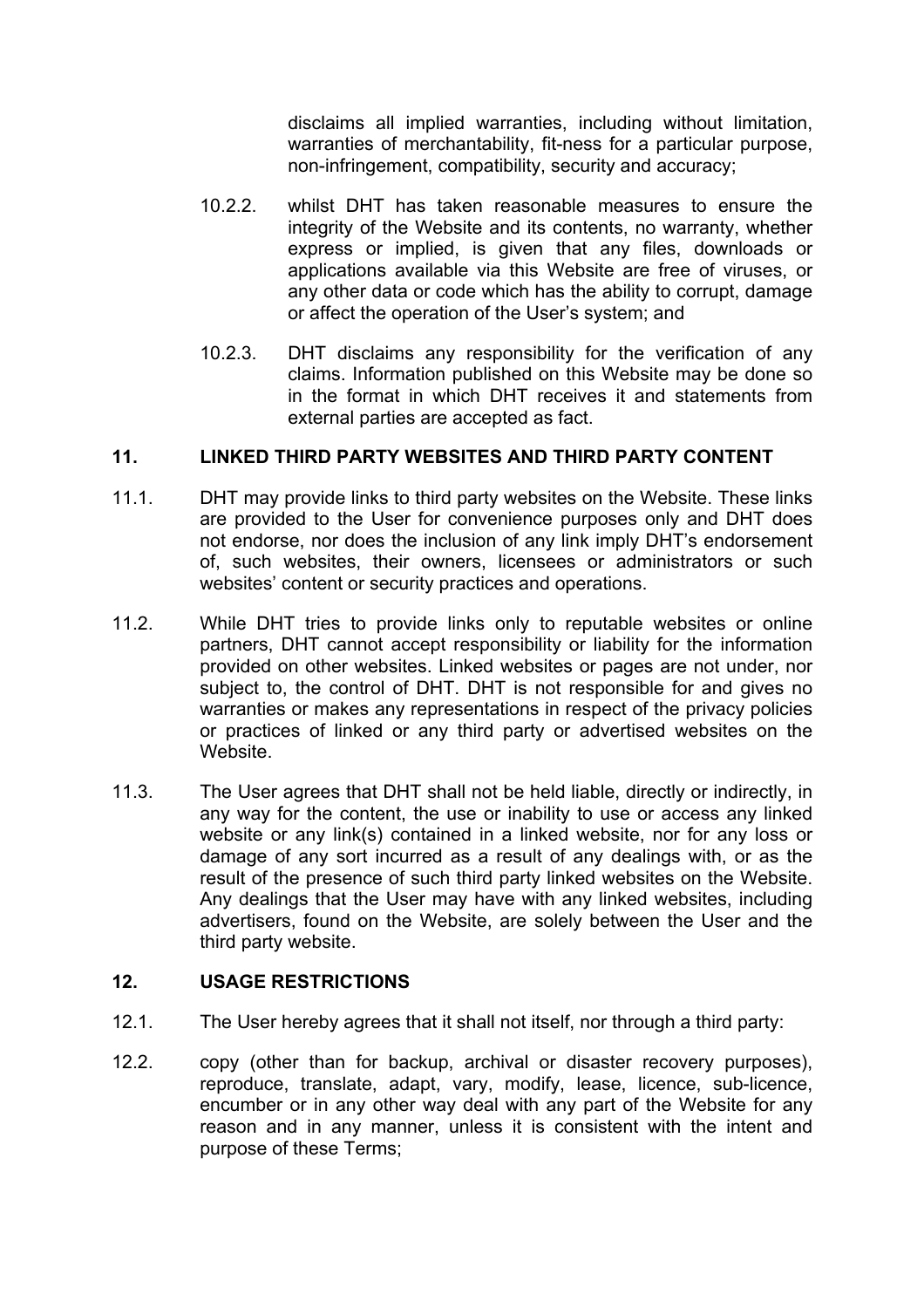disclaims all implied warranties, including without limitation, warranties of merchantability, fit-ness for a particular purpose, non-infringement, compatibility, security and accuracy;

- 10.2.2. whilst DHT has taken reasonable measures to ensure the integrity of the Website and its contents, no warranty, whether express or implied, is given that any files, downloads or applications available via this Website are free of viruses, or any other data or code which has the ability to corrupt, damage or affect the operation of the User's system; and
- 10.2.3. DHT disclaims any responsibility for the verification of any claims. Information published on this Website may be done so in the format in which DHT receives it and statements from external parties are accepted as fact.

### **11. LINKED THIRD PARTY WEBSITES AND THIRD PARTY CONTENT**

- 11.1. DHT may provide links to third party websites on the Website. These links are provided to the User for convenience purposes only and DHT does not endorse, nor does the inclusion of any link imply DHT's endorsement of, such websites, their owners, licensees or administrators or such websites' content or security practices and operations.
- 11.2. While DHT tries to provide links only to reputable websites or online partners, DHT cannot accept responsibility or liability for the information provided on other websites. Linked websites or pages are not under, nor subject to, the control of DHT. DHT is not responsible for and gives no warranties or makes any representations in respect of the privacy policies or practices of linked or any third party or advertised websites on the Website.
- 11.3. The User agrees that DHT shall not be held liable, directly or indirectly, in any way for the content, the use or inability to use or access any linked website or any link(s) contained in a linked website, nor for any loss or damage of any sort incurred as a result of any dealings with, or as the result of the presence of such third party linked websites on the Website. Any dealings that the User may have with any linked websites, including advertisers, found on the Website, are solely between the User and the third party website.

#### **12. USAGE RESTRICTIONS**

- 12.1. The User hereby agrees that it shall not itself, nor through a third party:
- 12.2. copy (other than for backup, archival or disaster recovery purposes), reproduce, translate, adapt, vary, modify, lease, licence, sub-licence, encumber or in any other way deal with any part of the Website for any reason and in any manner, unless it is consistent with the intent and purpose of these Terms;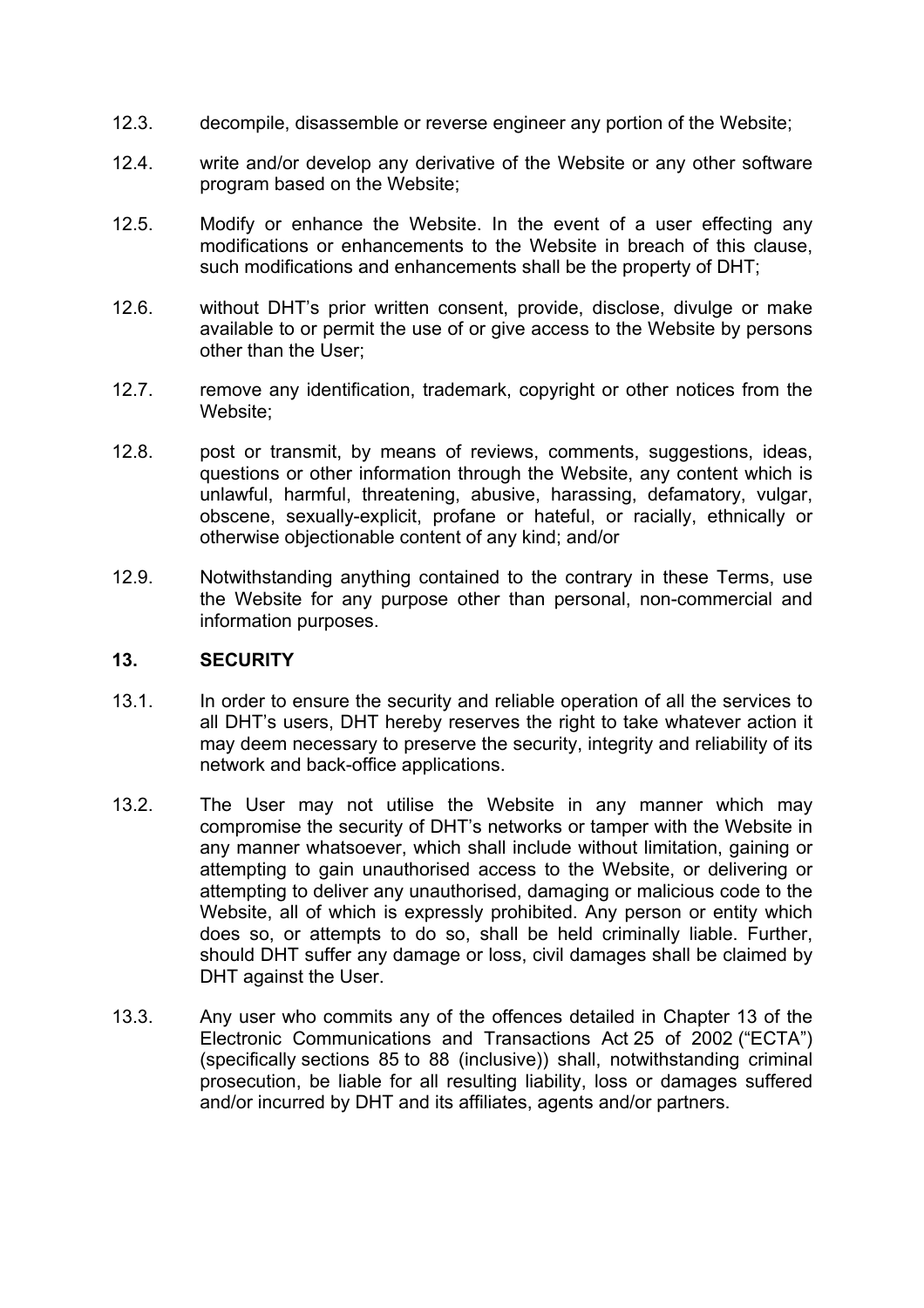- 12.3. decompile, disassemble or reverse engineer any portion of the Website;
- 12.4. write and/or develop any derivative of the Website or any other software program based on the Website;
- 12.5. Modify or enhance the Website. In the event of a user effecting any modifications or enhancements to the Website in breach of this clause, such modifications and enhancements shall be the property of DHT;
- 12.6. without DHT's prior written consent, provide, disclose, divulge or make available to or permit the use of or give access to the Website by persons other than the User;
- 12.7. remove any identification, trademark, copyright or other notices from the Website;
- 12.8. post or transmit, by means of reviews, comments, suggestions, ideas, questions or other information through the Website, any content which is unlawful, harmful, threatening, abusive, harassing, defamatory, vulgar, obscene, sexually-explicit, profane or hateful, or racially, ethnically or otherwise objectionable content of any kind; and/or
- 12.9. Notwithstanding anything contained to the contrary in these Terms, use the Website for any purpose other than personal, non-commercial and information purposes.

### **13. SECURITY**

- 13.1. In order to ensure the security and reliable operation of all the services to all DHT's users, DHT hereby reserves the right to take whatever action it may deem necessary to preserve the security, integrity and reliability of its network and back-office applications.
- 13.2. The User may not utilise the Website in any manner which may compromise the security of DHT's networks or tamper with the Website in any manner whatsoever, which shall include without limitation, gaining or attempting to gain unauthorised access to the Website, or delivering or attempting to deliver any unauthorised, damaging or malicious code to the Website, all of which is expressly prohibited. Any person or entity which does so, or attempts to do so, shall be held criminally liable. Further, should DHT suffer any damage or loss, civil damages shall be claimed by DHT against the User.
- 13.3. Any user who commits any of the offences detailed in Chapter 13 of the Electronic Communications and Transactions Act 25 of 2002 ("ECTA") (specifically sections 85 to 88 (inclusive)) shall, notwithstanding criminal prosecution, be liable for all resulting liability, loss or damages suffered and/or incurred by DHT and its affiliates, agents and/or partners.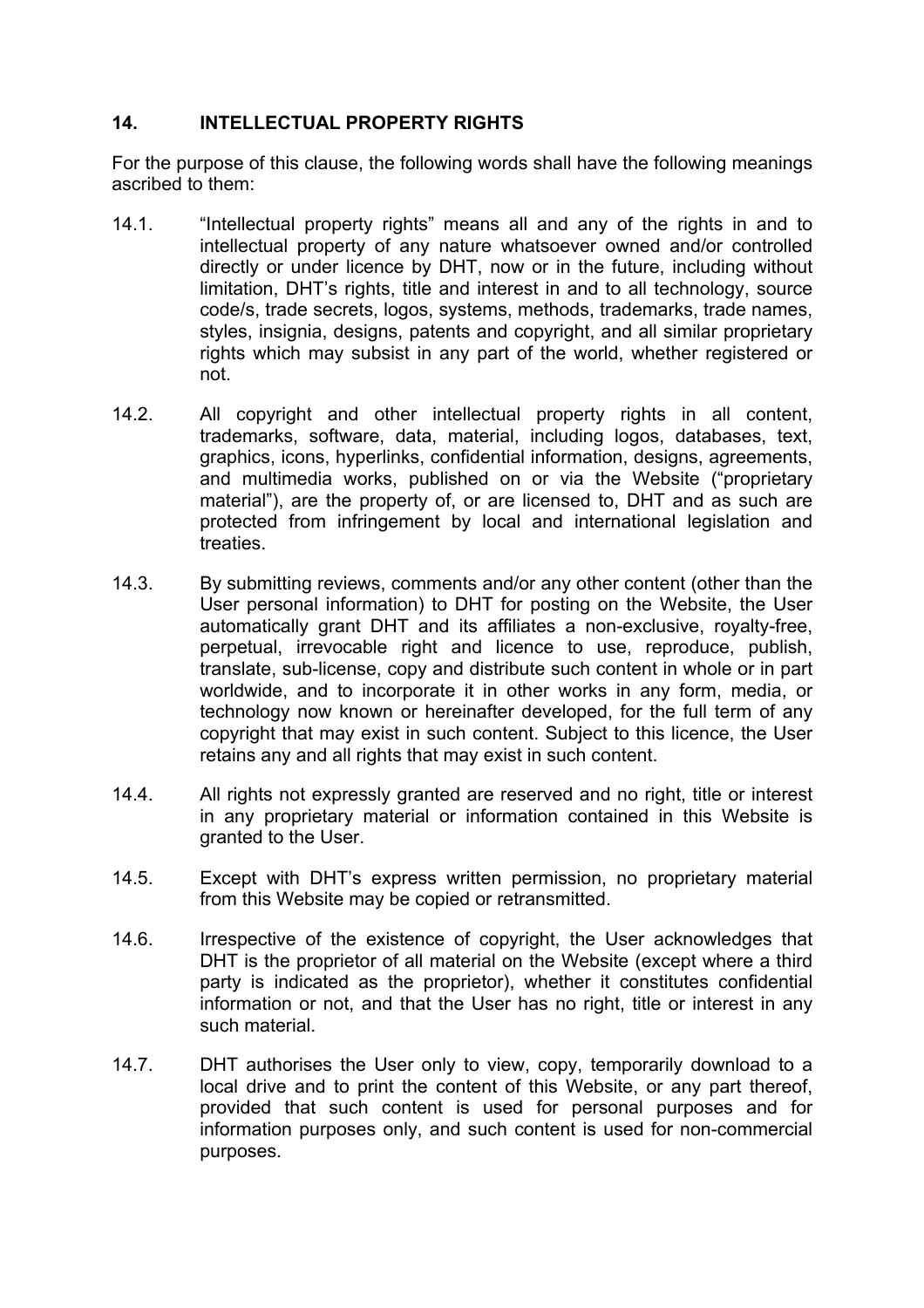### **14. INTELLECTUAL PROPERTY RIGHTS**

For the purpose of this clause, the following words shall have the following meanings ascribed to them:

- 14.1. "Intellectual property rights" means all and any of the rights in and to intellectual property of any nature whatsoever owned and/or controlled directly or under licence by DHT, now or in the future, including without limitation, DHT's rights, title and interest in and to all technology, source code/s, trade secrets, logos, systems, methods, trademarks, trade names, styles, insignia, designs, patents and copyright, and all similar proprietary rights which may subsist in any part of the world, whether registered or not.
- 14.2. All copyright and other intellectual property rights in all content, trademarks, software, data, material, including logos, databases, text, graphics, icons, hyperlinks, confidential information, designs, agreements, and multimedia works, published on or via the Website ("proprietary material"), are the property of, or are licensed to, DHT and as such are protected from infringement by local and international legislation and treaties.
- 14.3. By submitting reviews, comments and/or any other content (other than the User personal information) to DHT for posting on the Website, the User automatically grant DHT and its affiliates a non-exclusive, royalty-free, perpetual, irrevocable right and licence to use, reproduce, publish, translate, sub-license, copy and distribute such content in whole or in part worldwide, and to incorporate it in other works in any form, media, or technology now known or hereinafter developed, for the full term of any copyright that may exist in such content. Subject to this licence, the User retains any and all rights that may exist in such content.
- 14.4. All rights not expressly granted are reserved and no right, title or interest in any proprietary material or information contained in this Website is granted to the User.
- 14.5. Except with DHT's express written permission, no proprietary material from this Website may be copied or retransmitted.
- 14.6. Irrespective of the existence of copyright, the User acknowledges that DHT is the proprietor of all material on the Website (except where a third party is indicated as the proprietor), whether it constitutes confidential information or not, and that the User has no right, title or interest in any such material.
- 14.7. DHT authorises the User only to view, copy, temporarily download to a local drive and to print the content of this Website, or any part thereof, provided that such content is used for personal purposes and for information purposes only, and such content is used for non-commercial purposes.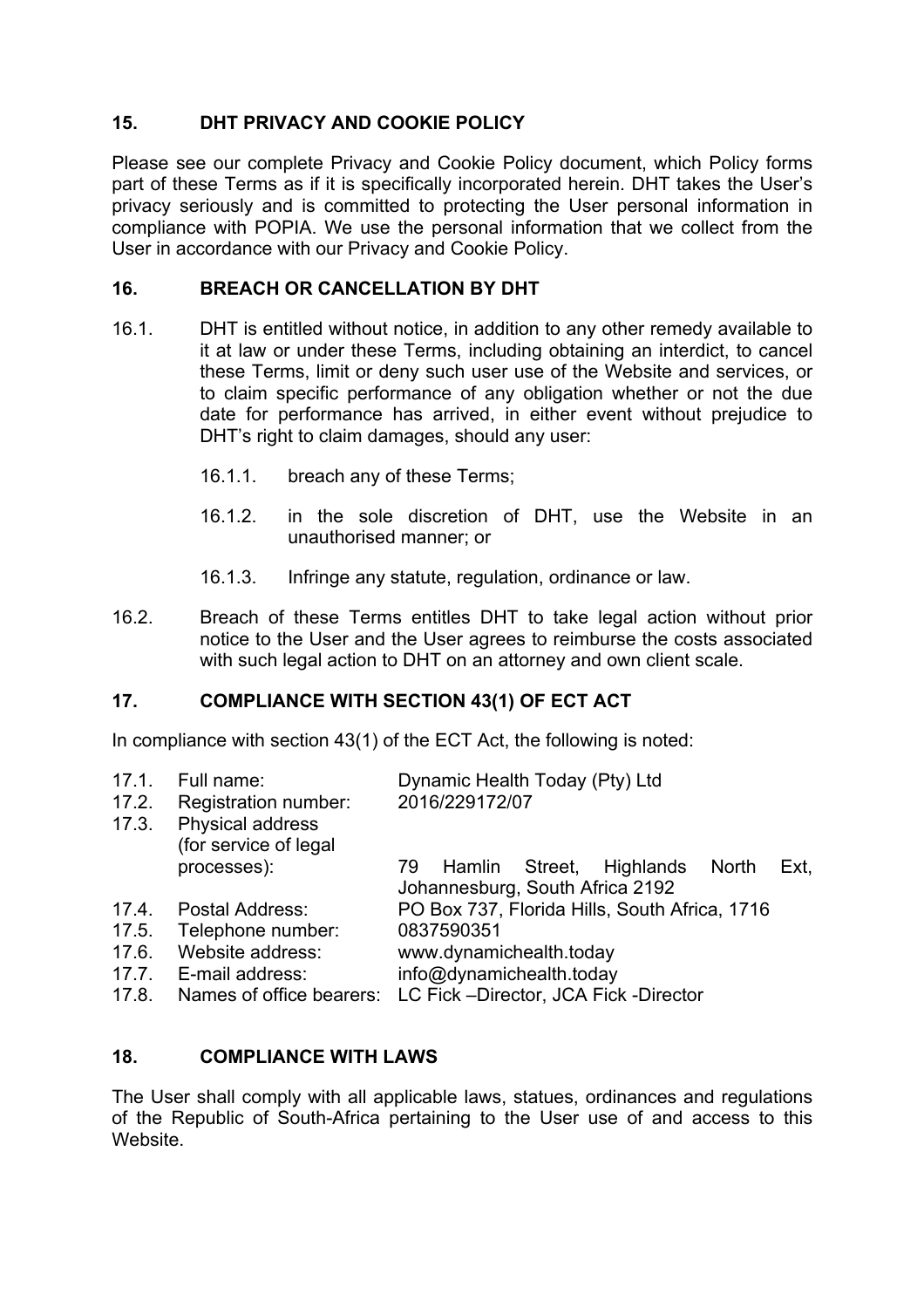# **15. DHT PRIVACY AND COOKIE POLICY**

Please see our complete Privacy and Cookie Policy document, which Policy forms part of these Terms as if it is specifically incorporated herein. DHT takes the User's privacy seriously and is committed to protecting the User personal information in compliance with POPIA. We use the personal information that we collect from the User in accordance with our Privacy and Cookie Policy.

### **16. BREACH OR CANCELLATION BY DHT**

- 16.1. DHT is entitled without notice, in addition to any other remedy available to it at law or under these Terms, including obtaining an interdict, to cancel these Terms, limit or deny such user use of the Website and services, or to claim specific performance of any obligation whether or not the due date for performance has arrived, in either event without prejudice to DHT's right to claim damages, should any user:
	- 16.1.1. breach any of these Terms;
	- 16.1.2. in the sole discretion of DHT, use the Website in an unauthorised manner; or
	- 16.1.3. Infringe any statute, regulation, ordinance or law.
- 16.2. Breach of these Terms entitles DHT to take legal action without prior notice to the User and the User agrees to reimburse the costs associated with such legal action to DHT on an attorney and own client scale.

## **17. COMPLIANCE WITH SECTION 43(1) OF ECT ACT**

In compliance with section 43(1) of the ECT Act, the following is noted:

| 17.1.<br>17.2.<br>17.3. | Full name:<br>Registration number:<br>Physical address<br>(for service of legal | Dynamic Health Today (Pty) Ltd<br>2016/229172/07                                                |
|-------------------------|---------------------------------------------------------------------------------|-------------------------------------------------------------------------------------------------|
|                         | processes):                                                                     | Street,<br>Highlands<br>Ext.<br>Hamlin<br><b>North</b><br>79<br>Johannesburg, South Africa 2192 |
| 17.4.                   | Postal Address:                                                                 | PO Box 737, Florida Hills, South Africa, 1716                                                   |
| 17.5.                   | Telephone number:                                                               | 0837590351                                                                                      |
| 17.6.                   | Website address:                                                                | www.dynamichealth.today                                                                         |
| 17.7.                   | E-mail address:                                                                 | info@dynamichealth.today                                                                        |
| 17.8.                   | Names of office bearers:                                                        | LC Fick -Director, JCA Fick -Director                                                           |

#### **18. COMPLIANCE WITH LAWS**

The User shall comply with all applicable laws, statues, ordinances and regulations of the Republic of South-Africa pertaining to the User use of and access to this Website.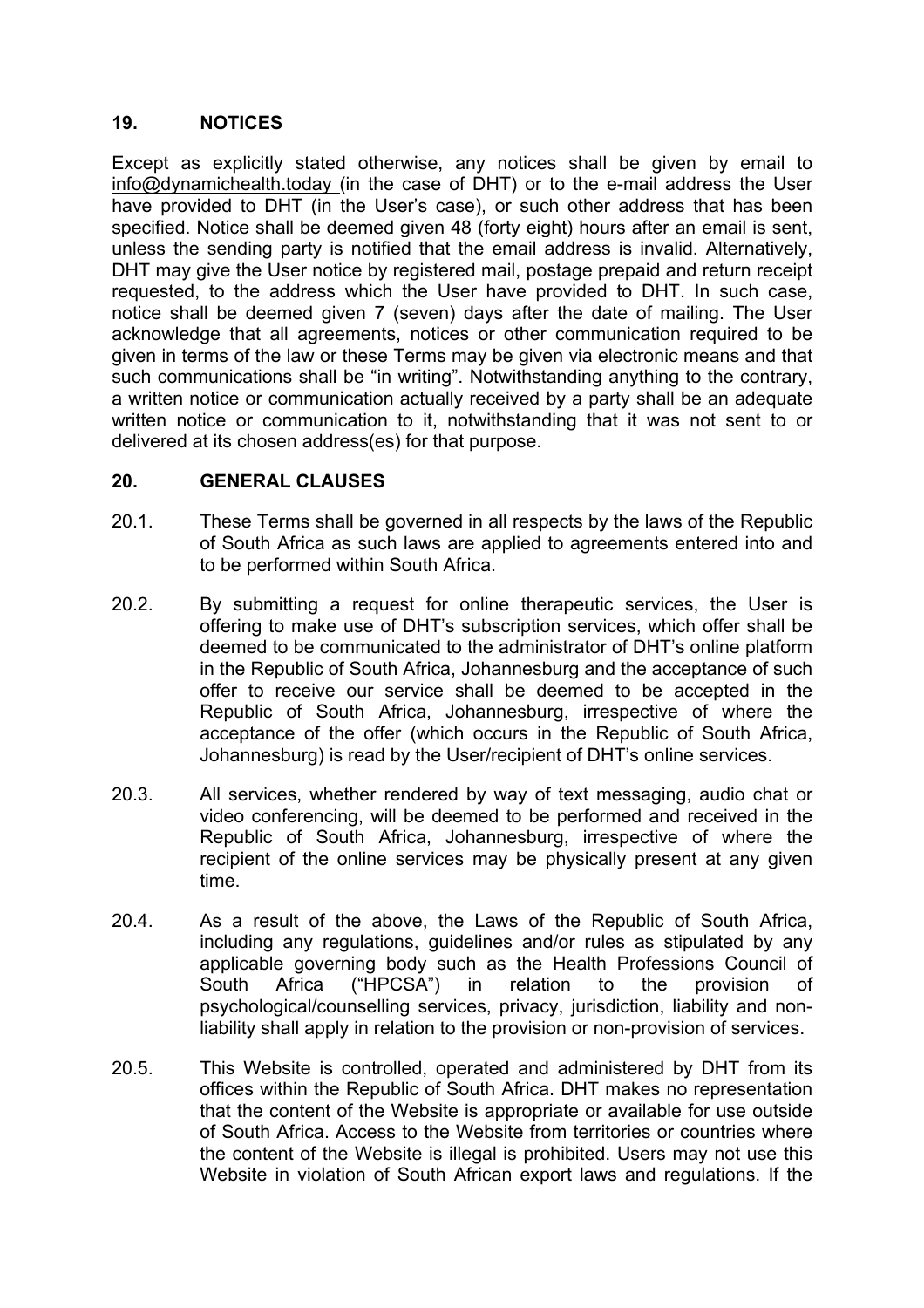### **19. NOTICES**

Except as explicitly stated otherwise, any notices shall be given by email to info@dynamichealth.today (in the case of DHT) or to the e-mail address the User have provided to DHT (in the User's case), or such other address that has been specified. Notice shall be deemed given 48 (forty eight) hours after an email is sent, unless the sending party is notified that the email address is invalid. Alternatively, DHT may give the User notice by registered mail, postage prepaid and return receipt requested, to the address which the User have provided to DHT. In such case, notice shall be deemed given 7 (seven) days after the date of mailing. The User acknowledge that all agreements, notices or other communication required to be given in terms of the law or these Terms may be given via electronic means and that such communications shall be "in writing". Notwithstanding anything to the contrary, a written notice or communication actually received by a party shall be an adequate written notice or communication to it, notwithstanding that it was not sent to or delivered at its chosen address(es) for that purpose.

### **20. GENERAL CLAUSES**

- 20.1. These Terms shall be governed in all respects by the laws of the Republic of South Africa as such laws are applied to agreements entered into and to be performed within South Africa.
- 20.2. By submitting a request for online therapeutic services, the User is offering to make use of DHT's subscription services, which offer shall be deemed to be communicated to the administrator of DHT's online platform in the Republic of South Africa, Johannesburg and the acceptance of such offer to receive our service shall be deemed to be accepted in the Republic of South Africa, Johannesburg, irrespective of where the acceptance of the offer (which occurs in the Republic of South Africa, Johannesburg) is read by the User/recipient of DHT's online services.
- 20.3. All services, whether rendered by way of text messaging, audio chat or video conferencing, will be deemed to be performed and received in the Republic of South Africa, Johannesburg, irrespective of where the recipient of the online services may be physically present at any given time.
- 20.4. As a result of the above, the Laws of the Republic of South Africa, including any regulations, guidelines and/or rules as stipulated by any applicable governing body such as the Health Professions Council of South Africa ("HPCSA") in relation to the provision of psychological/counselling services, privacy, jurisdiction, liability and nonliability shall apply in relation to the provision or non-provision of services.
- 20.5. This Website is controlled, operated and administered by DHT from its offices within the Republic of South Africa. DHT makes no representation that the content of the Website is appropriate or available for use outside of South Africa. Access to the Website from territories or countries where the content of the Website is illegal is prohibited. Users may not use this Website in violation of South African export laws and regulations. If the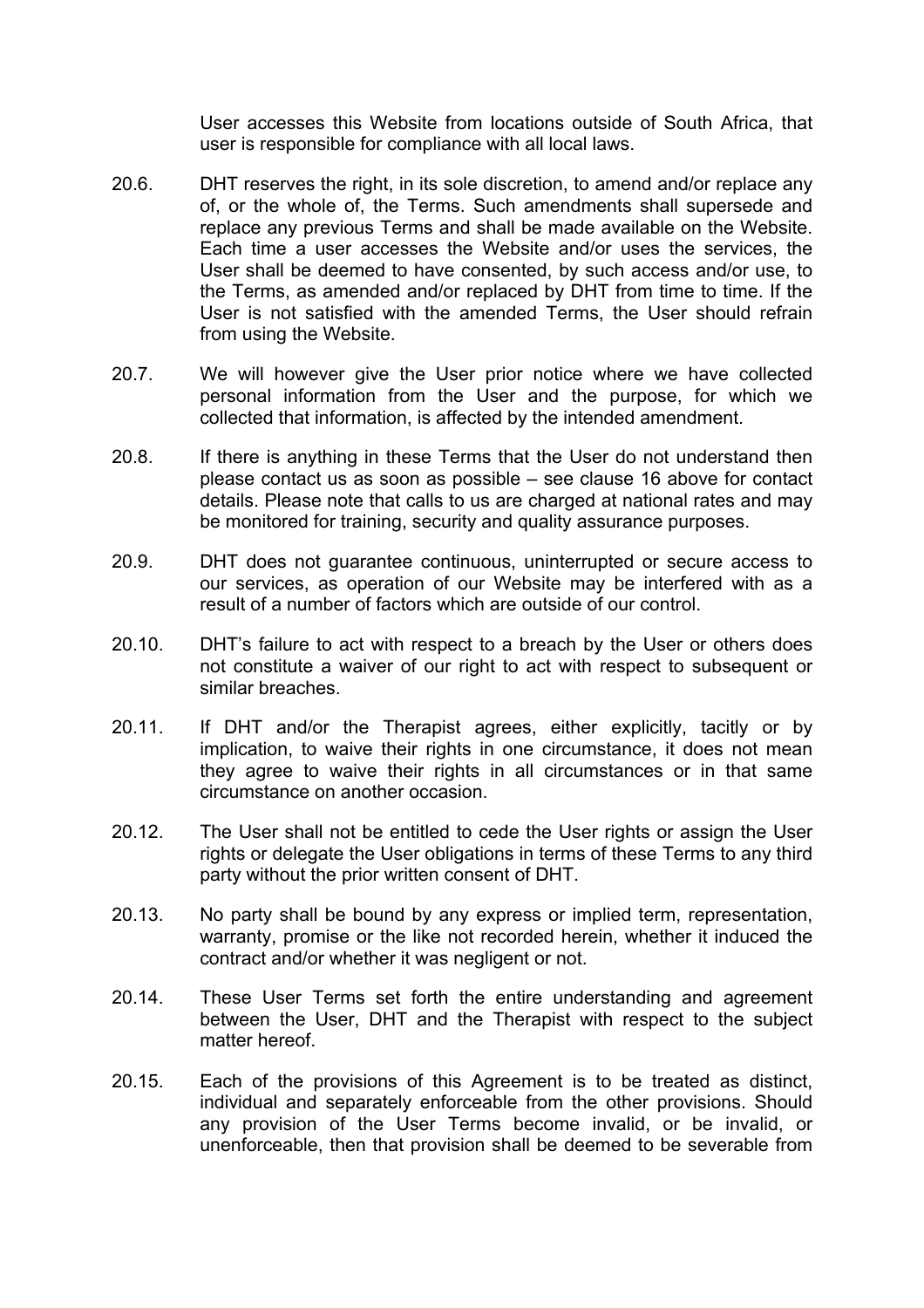User accesses this Website from locations outside of South Africa, that user is responsible for compliance with all local laws.

- 20.6. DHT reserves the right, in its sole discretion, to amend and/or replace any of, or the whole of, the Terms. Such amendments shall supersede and replace any previous Terms and shall be made available on the Website. Each time a user accesses the Website and/or uses the services, the User shall be deemed to have consented, by such access and/or use, to the Terms, as amended and/or replaced by DHT from time to time. If the User is not satisfied with the amended Terms, the User should refrain from using the Website.
- 20.7. We will however give the User prior notice where we have collected personal information from the User and the purpose, for which we collected that information, is affected by the intended amendment.
- 20.8. If there is anything in these Terms that the User do not understand then please contact us as soon as possible – see clause 16 above for contact details. Please note that calls to us are charged at national rates and may be monitored for training, security and quality assurance purposes.
- 20.9. DHT does not guarantee continuous, uninterrupted or secure access to our services, as operation of our Website may be interfered with as a result of a number of factors which are outside of our control.
- 20.10. DHT's failure to act with respect to a breach by the User or others does not constitute a waiver of our right to act with respect to subsequent or similar breaches.
- 20.11. If DHT and/or the Therapist agrees, either explicitly, tacitly or by implication, to waive their rights in one circumstance, it does not mean they agree to waive their rights in all circumstances or in that same circumstance on another occasion.
- 20.12. The User shall not be entitled to cede the User rights or assign the User rights or delegate the User obligations in terms of these Terms to any third party without the prior written consent of DHT.
- 20.13. No party shall be bound by any express or implied term, representation, warranty, promise or the like not recorded herein, whether it induced the contract and/or whether it was negligent or not.
- 20.14. These User Terms set forth the entire understanding and agreement between the User, DHT and the Therapist with respect to the subject matter hereof.
- 20.15. Each of the provisions of this Agreement is to be treated as distinct, individual and separately enforceable from the other provisions. Should any provision of the User Terms become invalid, or be invalid, or unenforceable, then that provision shall be deemed to be severable from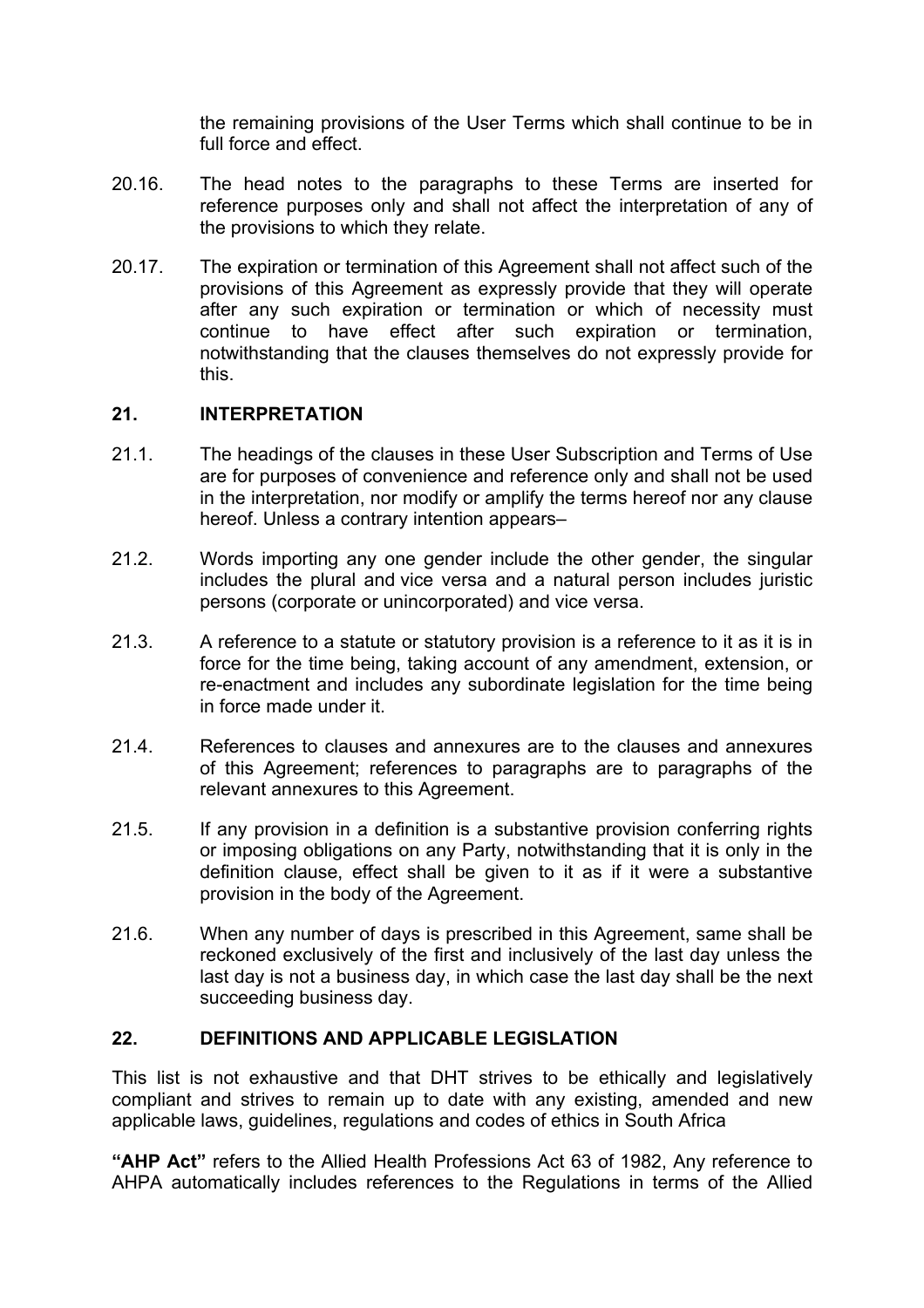the remaining provisions of the User Terms which shall continue to be in full force and effect.

- 20.16. The head notes to the paragraphs to these Terms are inserted for reference purposes only and shall not affect the interpretation of any of the provisions to which they relate.
- 20.17. The expiration or termination of this Agreement shall not affect such of the provisions of this Agreement as expressly provide that they will operate after any such expiration or termination or which of necessity must continue to have effect after such expiration or termination, notwithstanding that the clauses themselves do not expressly provide for this.

#### **21. INTERPRETATION**

- 21.1. The headings of the clauses in these User Subscription and Terms of Use are for purposes of convenience and reference only and shall not be used in the interpretation, nor modify or amplify the terms hereof nor any clause hereof. Unless a contrary intention appears-
- 21.2. Words importing any one gender include the other gender, the singular includes the plural and vice versa and a natural person includes juristic persons (corporate or unincorporated) and vice versa.
- 21.3. A reference to a statute or statutory provision is a reference to it as it is in force for the time being, taking account of any amendment, extension, or re-enactment and includes any subordinate legislation for the time being in force made under it.
- 21.4. References to clauses and annexures are to the clauses and annexures of this Agreement; references to paragraphs are to paragraphs of the relevant annexures to this Agreement.
- 21.5. If any provision in a definition is a substantive provision conferring rights or imposing obligations on any Party, notwithstanding that it is only in the definition clause, effect shall be given to it as if it were a substantive provision in the body of the Agreement.
- 21.6. When any number of days is prescribed in this Agreement, same shall be reckoned exclusively of the first and inclusively of the last day unless the last day is not a business day, in which case the last day shall be the next succeeding business day.

#### **22. DEFINITIONS AND APPLICABLE LEGISLATION**

This list is not exhaustive and that DHT strives to be ethically and legislatively compliant and strives to remain up to date with any existing, amended and new applicable laws, guidelines, regulations and codes of ethics in South Africa

**"AHP Act"** refers to the Allied Health Professions Act 63 of 1982, Any reference to AHPA automatically includes references to the Regulations in terms of the Allied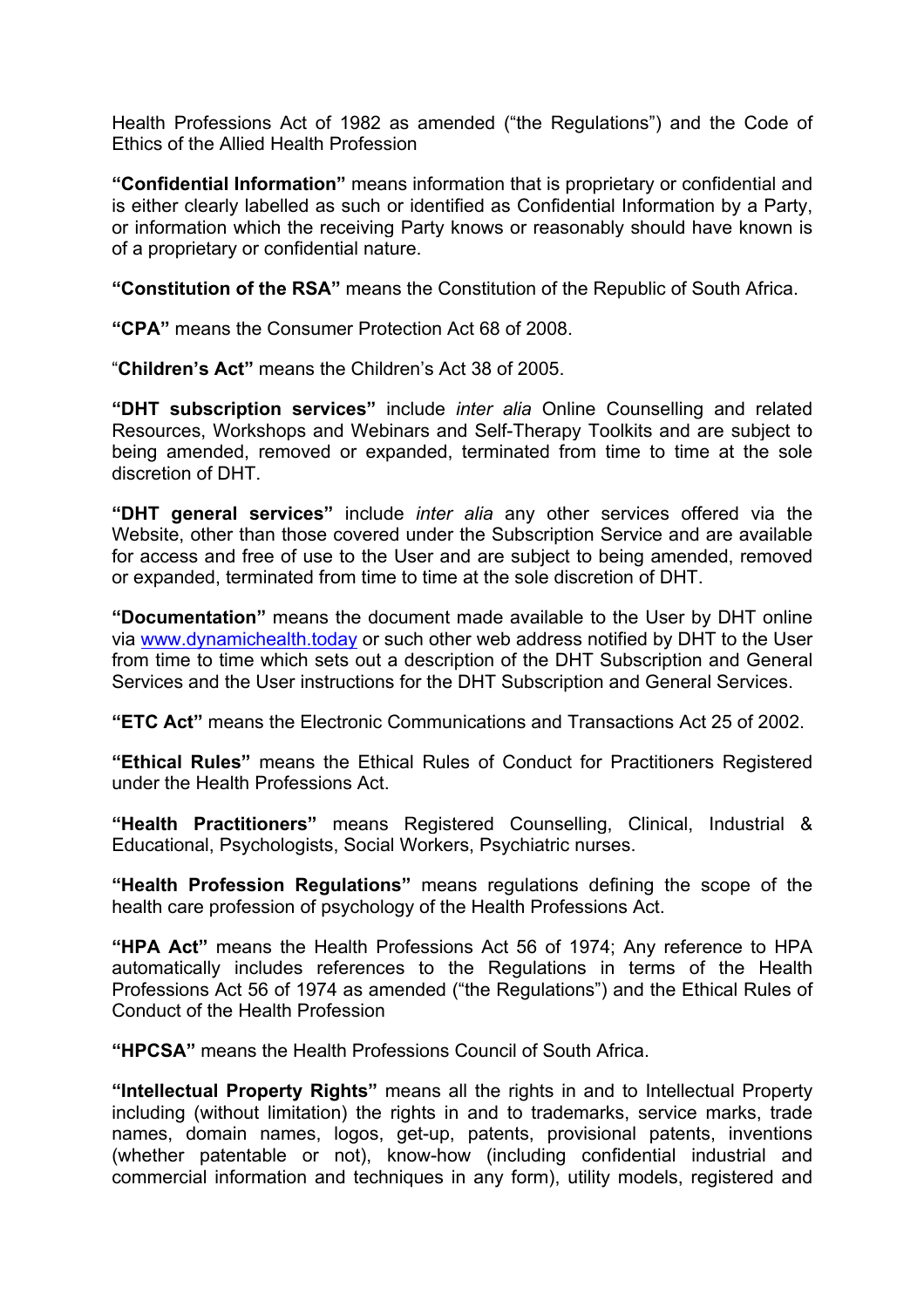Health Professions Act of 1982 as amended ("the Regulations") and the Code of Ethics of the Allied Health Profession

**"Confidential Information"** means information that is proprietary or confidential and is either clearly labelled as such or identified as Confidential Information by a Party, or information which the receiving Party knows or reasonably should have known is of a proprietary or confidential nature.

**"Constitution of the RSA"** means the Constitution of the Republic of South Africa.

**"CPA"** means the Consumer Protection Act 68 of 2008.

"**Children's Act"** means the Children's Act 38 of 2005.

**"DHT subscription services"** include *inter alia* Online Counselling and related Resources, Workshops and Webinars and Self-Therapy Toolkits and are subject to being amended, removed or expanded, terminated from time to time at the sole discretion of DHT.

**"DHT general services"** include *inter alia* any other services offered via the Website, other than those covered under the Subscription Service and are available for access and free of use to the User and are subject to being amended, removed or expanded, terminated from time to time at the sole discretion of DHT.

**"Documentation"** means the document made available to the User by DHT online via www.dynamichealth.today or such other web address notified by DHT to the User from time to time which sets out a description of the DHT Subscription and General Services and the User instructions for the DHT Subscription and General Services.

**"ETC Act"** means the Electronic Communications and Transactions Act 25 of 2002.

**"Ethical Rules"** means the Ethical Rules of Conduct for Practitioners Registered under the Health Professions Act.

**"Health Practitioners"** means Registered Counselling, Clinical, Industrial & Educational, Psychologists, Social Workers, Psychiatric nurses.

**"Health Profession Regulations"** means regulations defining the scope of the health care profession of psychology of the Health Professions Act.

**"HPA Act"** means the Health Professions Act 56 of 1974; Any reference to HPA automatically includes references to the Regulations in terms of the Health Professions Act 56 of 1974 as amended ("the Regulations") and the Ethical Rules of Conduct of the Health Profession

**"HPCSA"** means the Health Professions Council of South Africa.

**"Intellectual Property Rights"** means all the rights in and to Intellectual Property including (without limitation) the rights in and to trademarks, service marks, trade names, domain names, logos, get-up, patents, provisional patents, inventions (whether patentable or not), know-how (including confidential industrial and commercial information and techniques in any form), utility models, registered and